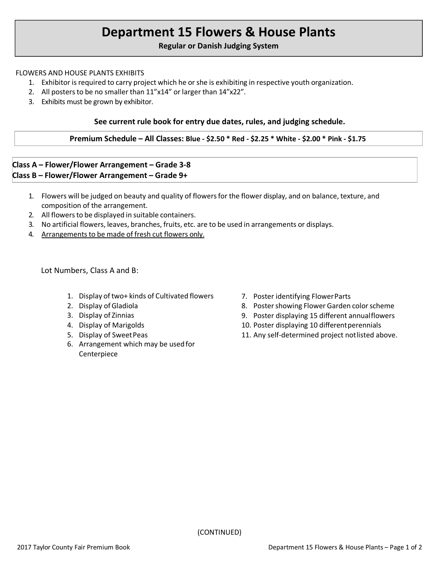# **Department 15 Flowers & House Plants**

**Regular or Danish Judging System**

#### FLOWERS AND HOUSE PLANTS EXHIBITS

- 1. Exhibitor is required to carry project which he orshe is exhibiting in respective youth organization.
- 2. All posters to be no smaller than 11"x14" or larger than 14"x22".
- 3. Exhibits must be grown by exhibitor.

#### **See current rule book for entry due dates, rules, and judging schedule.**

#### **Premium Schedule – All Classes: Blue - \$2.50 \* Red - \$2.25 \* White - \$2.00 \* Pink - \$1.75**

## **Class A – Flower/Flower Arrangement – Grade 3-8 Class B – Flower/Flower Arrangement – Grade 9+**

- 1. Flowers will be judged on beauty and quality of flowersfor the flower display, and on balance, texture, and composition of the arrangement.
- 2. All flowers to be displayed in suitable containers.
- 3. No artificial flowers, leaves, branches, fruits, etc. are to be used in arrangements or displays.
- 4. Arrangements to be made of fresh cut flowers only.

Lot Numbers, Class A and B:

- 1. Display of two+ kinds of Cultivated flowers
- 2. Display of Gladiola
- 3. Display of Zinnias
- 4. Display of Marigolds
- 5. Display of SweetPeas
- 6. Arrangement which may be usedfor Centerpiece
- 7. Poster identifying FlowerParts
- 8. Poster showing Flower Garden color scheme
- 9. Poster displaying 15 different annualflowers
- 10. Poster displaying 10 differentperennials
- 11. Any self-determined project notlisted above.